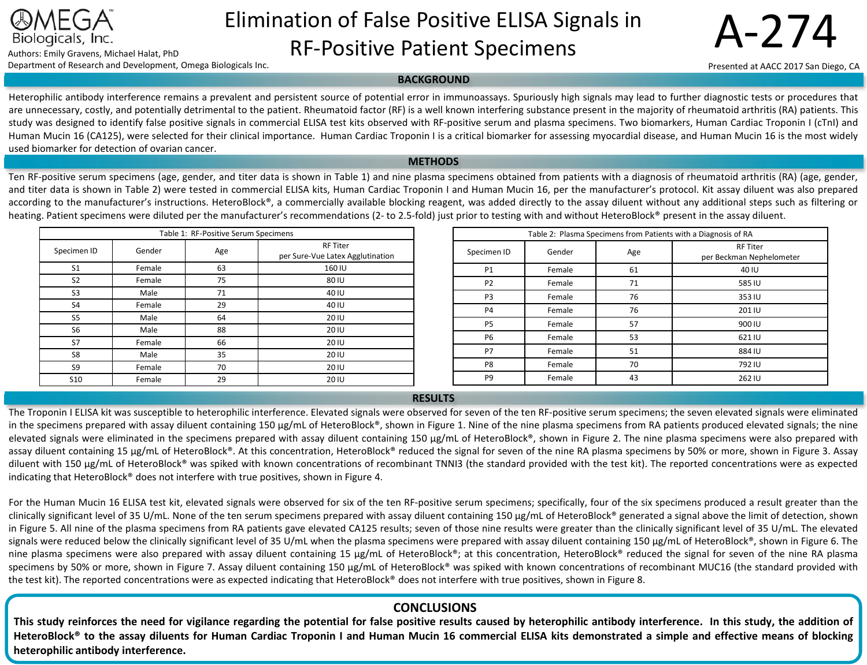

# Elimination of False Positive ELISA Signals in Biologicals, Inc.<br>Authors: Emily Gravens, Michael Halat, PhD **RF-Positive Patient Specimens** Department of Research and Development, Omega Biologicals Inc.

Presented at AACC 2017 San Diego, CA

## **BACKGROUND**

Heterophilic antibody interference remains a prevalent and persistent source of potential error in immunoassays. Spuriously high signals may lead to further diagnostic tests or procedures that are unnecessary, costly, and potentially detrimental to the patient. Rheumatoid factor (RF) is a well known interfering substance present in the majority of rheumatoid arthritis (RA) patients. This study was designed to identify false positive signals in commercial ELISA test kits observed with RF-positive serum and plasma specimens. Two biomarkers, Human Cardiac Troponin I (cTnI) and Human Mucin 16 (CA125), were selected for their clinical importance. Human Cardiac Troponin I is a critical biomarker for assessing myocardial disease, and Human Mucin 16 is the most widely used biomarker for detection of ovarian cancer.

#### **METHODS**

Ten RF-positive serum specimens (age, gender, and titer data is shown in Table 1) and nine plasma specimens obtained from patients with a diagnosis of rheumatoid arthritis (RA) (age, gender, and titer data is shown in Table 2) were tested in commercial ELISA kits, Human Cardiac Troponin I and Human Mucin 16, per the manufacturer's protocol. Kit assay diluent was also prepared according to the manufacturer's instructions. HeteroBlock®, a commercially available blocking reagent, was added directly to the assay diluent without any additional steps such as filtering or heating. Patient specimens were diluted per the manufacturer's recommendations (2- to 2.5-fold) just prior to testing with and without HeteroBlock® present in the assay diluent.

| Table 1: RF-Positive Serum Specimens |        |     |                                                     |  |
|--------------------------------------|--------|-----|-----------------------------------------------------|--|
| Specimen ID                          | Gender | Age | <b>RF Titer</b><br>per Sure-Vue Latex Agglutination |  |
| S <sub>1</sub>                       | Female | 63  | 160 IU                                              |  |
| S <sub>2</sub>                       | Female | 75  | 80 IU                                               |  |
| S <sub>3</sub>                       | Male   | 71  | 40 IU                                               |  |
| S4                                   | Female | 29  | 40 IU                                               |  |
| S <sub>5</sub>                       | Male   | 64  | 20 IU                                               |  |
| S <sub>6</sub>                       | Male   | 88  | 20 IU                                               |  |
| S7                                   | Female | 66  | 20 IU                                               |  |
| S8                                   | Male   | 35  | 20 IU                                               |  |
| S9                                   | Female | 70  | 20 IU                                               |  |
| <b>S10</b>                           | Female | 29  | 20 IU                                               |  |

| Table 2: Plasma Specimens from Patients with a Diagnosis of RA |        |     |                                             |  |
|----------------------------------------------------------------|--------|-----|---------------------------------------------|--|
| Specimen ID                                                    | Gender | Age | <b>RF Titer</b><br>per Beckman Nephelometer |  |
| <b>P1</b>                                                      | Female | 61  | 40 IU                                       |  |
| P <sub>2</sub>                                                 | Female | 71  | 585 IU                                      |  |
| P <sub>3</sub>                                                 | Female | 76  | 353 IU                                      |  |
| <b>P4</b>                                                      | Female | 76  | 201 IU                                      |  |
| P <sub>5</sub>                                                 | Female | 57  | 900 IU                                      |  |
| P <sub>6</sub>                                                 | Female | 53  | 621 IU                                      |  |
| P7                                                             | Female | 51  | 884 IU                                      |  |
| P8                                                             | Female | 70  | 792 IU                                      |  |
| P <sub>9</sub>                                                 | Female | 43  | 262 IU                                      |  |

### **RESULTS**

The Troponin I ELISA kit was susceptible to heterophilic interference. Elevated signals were observed for seven of the ten RF-positive serum specimens; the seven elevated signals were eliminated in the specimens prepared with assay diluent containing 150 µg/mL of HeteroBlock®, shown in Figure 1. Nine of the nine plasma specimens from RA patients produced elevated signals; the nine elevated signals were eliminated in the specimens prepared with assay diluent containing 150 µg/mL of HeteroBlock®, shown in Figure 2. The nine plasma specimens were also prepared with assay diluent containing 15 µg/mL of HeteroBlock®. At this concentration, HeteroBlock® reduced the signal for seven of the nine RA plasma specimens by 50% or more, shown in Figure 3. Assay diluent with 150 µg/mL of HeteroBlock® was spiked with known concentrations of recombinant TNNI3 (the standard provided with the test kit). The reported concentrations were as expected indicating that HeteroBlock® does not interfere with true positives, shown in Figure 4.

For the Human Mucin 16 ELISA test kit, elevated signals were observed for six of the ten RF-positive serum specimens; specifically, four of the six specimens produced a result greater than the clinically significant level of 35 U/mL. None of the ten serum specimens prepared with assay diluent containing 150 µg/mL of HeteroBlock® generated a signal above the limit of detection, shown in Figure 5. All nine of the plasma specimens from RA patients gave elevated CA125 results; seven of those nine results were greater than the clinically significant level of 35 U/mL. The elevated signals were reduced below the clinically significant level of 35 U/mL when the plasma specimens were prepared with assay diluent containing 150 µg/mL of HeteroBlock®, shown in Figure 6. The nine plasma specimens were also prepared with assay diluent containing 15 µg/mL of HeteroBlock®; at this concentration, HeteroBlock® reduced the signal for seven of the nine RA plasma specimens by 50% or more, shown in Figure 7. Assay diluent containing 150 µg/mL of HeteroBlock® was spiked with known concentrations of recombinant MUC16 (the standard provided with the test kit). The reported concentrations were as expected indicating that HeteroBlock® does not interfere with true positives, shown in Figure 8.

# **CONCLUSIONS**

This study reinforces the need for vigilance regarding the potential for false positive results caused by heterophilic antibody interference. In this study, the addition of HeteroBlock® to the assay diluents for Human Cardiac Troponin I and Human Mucin 16 commercial ELISA kits demonstrated a simple and effective means of blocking **heterophilic antibody interference.**